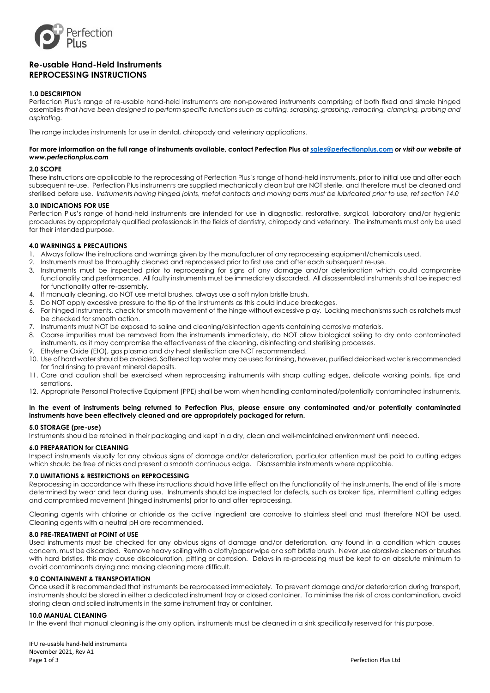

# **Re-usable Hand-Held Instruments REPROCESSING INSTRUCTIONS**

# **1.0 DESCRIPTION**

Perfection Plus's range of re-usable hand-held instruments are non-powered instruments comprising of both fixed and simple hinged assemblies *that have been designed to perform specific functions such as cutting, scraping, grasping, retracting, clamping, probing and aspirating.*

The range includes instruments for use in dental, chiropody and veterinary applications.

#### **For more information on the full range of instruments available, contact Perfection Plus a[t sales@perfectionplus.com](mailto:sales@perfectionplus.com)** *or visit our website at www.perfectionplus.com*

#### **2.0 SCOPE**

These instructions are applicable to the reprocessing of Perfection Plus's range of hand-held instruments, prior to initial use and after each subsequent re-use. Perfection Plus instruments are supplied mechanically clean but are NOT sterile, and therefore must be cleaned and sterilised before use. *Instruments having hinged joints, metal contacts and moving parts must be lubricated prior to use, ref section 14.0*

## **3.0 INDICATIONS FOR USE**

Perfection Plus's range of hand-held instruments are intended for use in diagnostic, restorative, surgical, laboratory and/or hygienic procedures by appropriately qualified professionals in the fields of dentistry, chiropody and veterinary. The instruments must only be used for their intended purpose.

## **4.0 WARNINGS & PRECAUTIONS**

- 1. Always follow the instructions and warnings given by the manufacturer of any reprocessing equipment/chemicals used.
- 2. Instruments must be thoroughly cleaned and reprocessed prior to first use and after each subsequent re-use.
- 3. Instruments must be inspected prior to reprocessing for signs of any damage and/or deterioration which could compromise functionality and performance. All faulty instruments must be immediately discarded. All disassembled instruments shall be inspected for functionality after re-assembly.
- 4. If manually cleaning, do NOT use metal brushes, always use a soft nylon bristle brush.
- 5. Do NOT apply excessive pressure to the tip of the instruments as this could induce breakages.
- 6. For hinged instruments, check for smooth movement of the hinge without excessive play. Locking mechanisms such as ratchets must be checked for smooth action.
- 7. Instruments must NOT be exposed to saline and cleaning/disinfection agents containing corrosive materials.
- 8. Coarse impurities must be removed from the instruments immediately, do NOT allow biological soiling to dry onto contaminated instruments, as it may compromise the effectiveness of the cleaning, disinfecting and sterilising processes.
- Ethylene Oxide (EtO), gas plasma and dry heat sterilisation are NOT recommended.
- 10. Use of hard water should be avoided. Softened tap water may be used for rinsing, however, purified deionised water is recommended for final rinsing to prevent mineral deposits.
- 11. Care and caution shall be exercised when reprocessing instruments with sharp cutting edges, delicate working points, tips and serrations.
- 12. Appropriate Personal Protective Equipment (PPE) shall be worn when handling contaminated/potentially contaminated instruments.

## **In the event of instruments being returned to Perfection Plus, please ensure any contaminated and/or potentially contaminated instruments have been effectively cleaned and are appropriately packaged for return.**

## **5.0 STORAGE (pre-use)**

Instruments should be retained in their packaging and kept in a dry, clean and well-maintained environment until needed.

## **6.0 PREPARATION for CLEANING**

Inspect instruments visually for any obvious signs of damage and/or deterioration, particular attention must be paid to cutting edges which should be free of nicks and present a smooth continuous edge. Disassemble instruments where applicable.

## **7.0 LIMITATIONS & RESTRICTIONS on REPROCESSING**

Reprocessing in accordance with these instructions should have little effect on the functionality of the instruments. The end of life is more determined by wear and tear during use. Instruments should be inspected for defects, such as broken tips, intermittent cutting edges and compromised movement (hinged instruments) prior to and after reprocessing.

Cleaning agents with chlorine or chloride as the active ingredient are corrosive to stainless steel and must therefore NOT be used. Cleaning agents with a neutral pH are recommended.

## **8.0 PRE-TREATMENT at POINT of USE**

Used instruments must be checked for any obvious signs of damage and/or deterioration, any found in a condition which causes concern, must be discarded. Remove heavy soiling with a cloth/paper wipe or a soft bristle brush. Never use abrasive cleaners or brushes with hard bristles, this may cause discolouration, pitting or corrosion. Delays in re-processing must be kept to an absolute minimum to avoid contaminants drying and making cleaning more difficult.

#### **9.0 CONTAINMENT & TRANSPORTATION**

Once used it is recommended that instruments be reprocessed immediately. To prevent damage and/or deterioration during transport, instruments should be stored in either a dedicated instrument tray or closed container. To minimise the risk of cross contamination, avoid storing clean and soiled instruments in the same instrument tray or container.

## **10.0 MANUAL CLEANING**

In the event that manual cleaning is the only option, instruments must be cleaned in a sink specifically reserved for this purpose.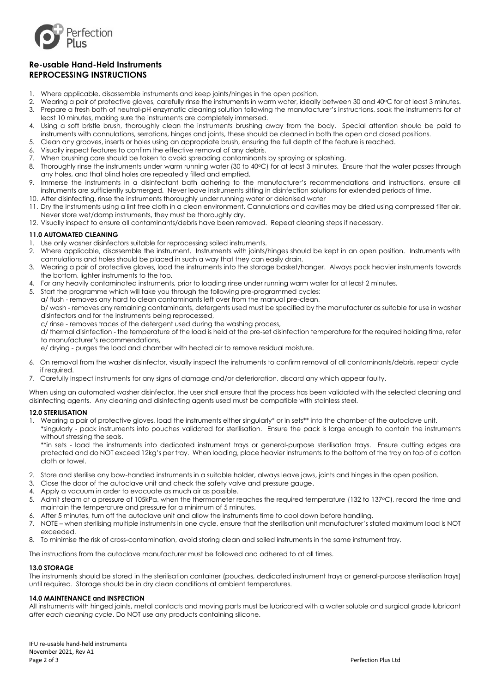

# **Re-usable Hand-Held Instruments REPROCESSING INSTRUCTIONS**

- 1. Where applicable, disassemble instruments and keep joints/hinges in the open position.
- 2. Wearing a pair of protective gloves, carefully rinse the instruments in warm water, ideally between 30 and 40°C for at least 3 minutes. 3. Prepare a fresh bath of neutral-pH enzymatic cleaning solution following the manufacturer's instructions, soak the instruments for at least 10 minutes, making sure the instruments are completely immersed.
- 4. Using a soft bristle brush, thoroughly clean the instruments brushing away from the body. Special attention should be paid to instruments with cannulations, serrations, hinges and joints, these should be cleaned in both the open and closed positions.
- 5. Clean any grooves, inserts or holes using an appropriate brush, ensuring the full depth of the feature is reached.
- 6. Visually inspect features to confirm the effective removal of any debris.
- 7. When brushing care should be taken to avoid spreading contaminants by spraying or splashing.
- 8. Thoroughly rinse the instruments under warm running water (30 to 40°C) for at least 3 minutes. Ensure that the water passes through any holes, and that blind holes are repeatedly filled and emptied.
- 9. Immerse the instruments in a disinfectant bath adhering to the manufacturer's recommendations and instructions, ensure all instruments are sufficiently submerged. Never leave instruments sitting in disinfection solutions for extended periods of time.
- 10. After disinfecting, rinse the instruments thoroughly under running water or deionised water 11. Dry the instruments using a lint free cloth in a clean environment. Cannulations and cavities may be dried using compressed filter air. Never store wet/damp instruments, they must be thoroughly dry.
- 12. Visually inspect to ensure all contaminants/debris have been removed. Repeat cleaning steps if necessary.

# **11.0 AUTOMATED CLEANING**

- 1. Use only washer disinfectors suitable for reprocessing soiled instruments.
- 2. Where applicable, disassemble the instrument. Instruments with joints/hinges should be kept in an open position. Instruments with cannulations and holes should be placed in such a way that they can easily drain.
- 3. Wearing a pair of protective gloves, load the instruments into the storage basket/hanger. Always pack heavier instruments towards the bottom, lighter instruments to the top.
- 4. For any heavily contaminated instruments, prior to loading rinse under running warm water for at least 2 minutes.
- 5. Start the programme which will take you through the following pre-programmed cycles:
- a/ flush removes any hard to clean contaminants left over from the manual pre-clean,

b/ wash - removes any remaining contaminants, detergents used must be specified by the manufacturer as suitable for use in washer disinfectors and for the instruments being reprocessed,

c/ rinse - removes traces of the detergent used during the washing process,

d/ thermal disinfection - the temperature of the load is held at the pre-set disinfection temperature for the required holding time, refer to manufacturer's recommendations,

e/ drying - purges the load and chamber with heated air to remove residual moisture.

- 6. On removal from the washer disinfector, visually inspect the instruments to confirm removal of all contaminants/debris, repeat cycle if required.
- 7. Carefully inspect instruments for any signs of damage and/or deterioration, discard any which appear faulty.

When using an automated washer disinfector, the user shall ensure that the process has been validated with the selected cleaning and disinfecting agents. Any cleaning and disinfecting agents used must be compatible with stainless steel.

## **12.0 STERILISATION**

1. Wearing a pair of protective gloves, load the instruments either singularly\* or in sets\*\* into the chamber of the autoclave unit. \*singularly - pack instruments into pouches validated for sterilisation. Ensure the pack is large enough to contain the instruments without stressing the seals.

\*\*in sets - load the instruments into dedicated instrument trays or general-purpose sterilisation trays. Ensure cutting edges are protected and do NOT exceed 12kg's per tray. When loading, place heavier instruments to the bottom of the tray on top of a cotton cloth or towel.

- 2. Store and sterilise any bow-handled instruments in a suitable holder, always leave jaws, joints and hinges in the open position.
- 3. Close the door of the autoclave unit and check the safety valve and pressure gauge.
- 4. Apply a vacuum in order to evacuate as much air as possible.
- 5. Admit steam at a pressure of 105kPa, when the thermometer reaches the required temperature (132 to 137°C), record the time and maintain the temperature and pressure for a minimum of 5 minutes.
- 6. After 5 minutes, turn off the autoclave unit and allow the instruments time to cool down before handling.
- 7. NOTE when sterilising multiple instruments in one cycle, ensure that the sterilisation unit manufacturer's stated maximum load is NOT exceeded.
- 8. To minimise the risk of cross-contamination, avoid storing clean and soiled instruments in the same instrument tray.

The instructions from the autoclave manufacturer must be followed and adhered to at all times.

## **13.0 STORAGE**

The instruments should be stored in the sterilisation container (pouches, dedicated instrument trays or general-purpose sterilisation trays) until required. Storage should be in dry clean conditions at ambient temperatures.

## **14.0 MAINTENANCE and INSPECTION**

All instruments with hinged joints, metal contacts and moving parts must be lubricated with a water soluble and surgical grade lubricant *after each cleaning cycle*. Do NOT use any products containing silicone.